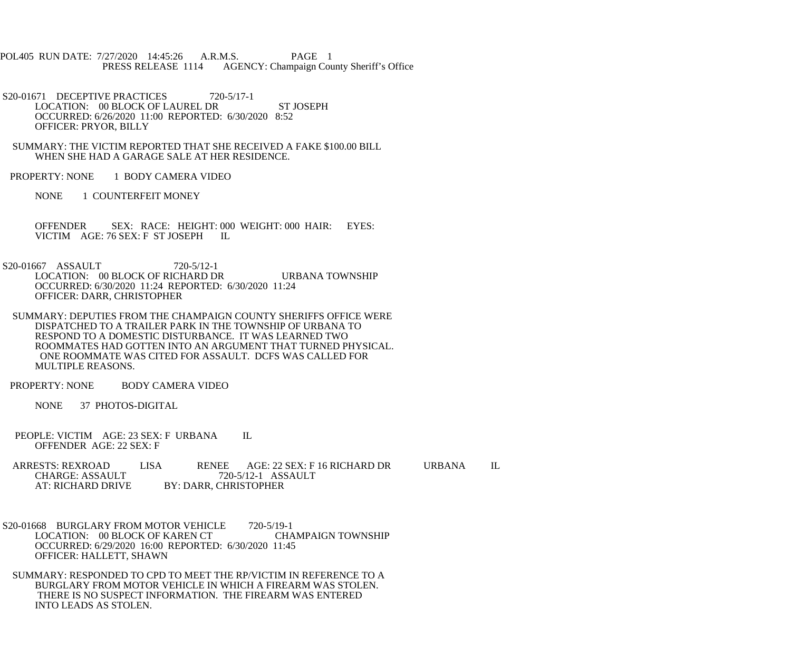POL405 RUN DATE: 7/27/2020 14:45:26 A.R.M.S. PAGE 1 PRESS RELEASE 1114 AGENCY: Champaign County Sheriff's Office

S20-01671 DECEPTIVE PRACTICES 720-5/17-1 LOCATION: 00 BLOCK OF LAUREL DR ST JOSEPH OCCURRED: 6/26/2020 11:00 REPORTED: 6/30/2020 8:52 OFFICER: PRYOR, BILLY

 SUMMARY: THE VICTIM REPORTED THAT SHE RECEIVED A FAKE \$100.00 BILL WHEN SHE HAD A GARAGE SALE AT HER RESIDENCE.

PROPERTY: NONE 1 BODY CAMERA VIDEO

NONE 1 COUNTERFEIT MONEY

OFFENDER SEX: RACE: HEIGHT: 000 WEIGHT: 000 HAIR: EYES:<br>VICTIM AGE: 76 SEX: F ST JOSEPH II VICTIM AGE: 76 SEX: F ST JOSEPH

S20-01667 ASSAULT 720-5/12-1 LOCATION: 00 BLOCK OF RICHARD DR URBANA TOWNSHIP OCCURRED: 6/30/2020 11:24 REPORTED: 6/30/2020 11:24 OFFICER: DARR, CHRISTOPHER

 SUMMARY: DEPUTIES FROM THE CHAMPAIGN COUNTY SHERIFFS OFFICE WERE DISPATCHED TO A TRAILER PARK IN THE TOWNSHIP OF URBANA TO RESPOND TO A DOMESTIC DISTURBANCE. IT WAS LEARNED TWO ROOMMATES HAD GOTTEN INTO AN ARGUMENT THAT TURNED PHYSICAL. ONE ROOMMATE WAS CITED FOR ASSAULT. DCFS WAS CALLED FOR MULTIPLE REASONS.

PROPERTY: NONE BODY CAMERA VIDEO

NONE 37 PHOTOS-DIGITAL

PEOPLE: VICTIM AGE: 23 SEX: F URBANA IL OFFENDER AGE: 22 SEX: F

ARRESTS: REXROAD LISA RENEE AGE: 22 SEX: F 16 RICHARD DR URBANA IL CHARGE: ASSAULT 720-5/12-1 ASSAULT CHARGE: ASSAULT 720-5/12-1 ASSAULT<br>AT: RICHARD DRIVE BY: DARR, CHRISTOPHER **BY: DARR, CHRISTOPHER** 

S20-01668 BURGLARY FROM MOTOR VEHICLE 720-5/19-1<br>LOCATION: 00 BLOCK OF KAREN CT CHAMPAIGN TOWNSHIP LOCATION: 00 BLOCK OF KAREN CT OCCURRED: 6/29/2020 16:00 REPORTED: 6/30/2020 11:45 OFFICER: HALLETT, SHAWN

 SUMMARY: RESPONDED TO CPD TO MEET THE RP/VICTIM IN REFERENCE TO A BURGLARY FROM MOTOR VEHICLE IN WHICH A FIREARM WAS STOLEN. THERE IS NO SUSPECT INFORMATION. THE FIREARM WAS ENTERED INTO LEADS AS STOLEN.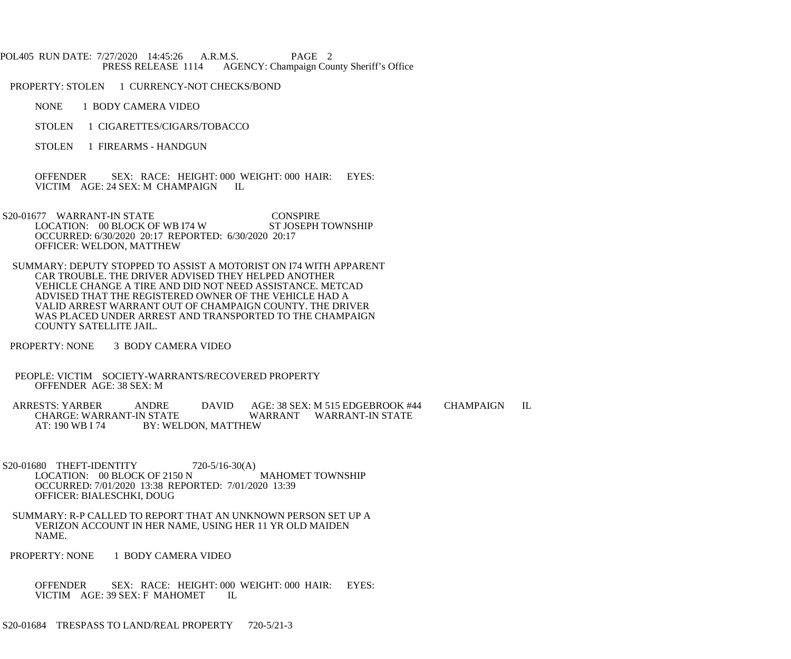## POL405 RUN DATE: 7/27/2020 14:45:26 A.R.M.S. PAGE 2 PRESS RELEASE 1114 AGENCY: Champaign County Sheriff's Office

PROPERTY: STOLEN 1 CURRENCY-NOT CHECKS/BOND

- NONE 1 BODY CAMERA VIDEO
- STOLEN 1 CIGARETTES/CIGARS/TOBACCO
- STOLEN 1 FIREARMS HANDGUN

 OFFENDER SEX: RACE: HEIGHT: 000 WEIGHT: 000 HAIR: EYES: VICTIM AGE: 24 SEX: M CHAMPAIGN IL

 S20-01677 WARRANT-IN STATE CONSPIRE LOCATION: 00 BLOCK OF WB 174 W ST JOSEPH TOWNSHIP OCCURRED: 6/30/2020 20:17 REPORTED: 6/30/2020 20:17 OFFICER: WELDON, MATTHEW

- SUMMARY: DEPUTY STOPPED TO ASSIST A MOTORIST ON I74 WITH APPARENT CAR TROUBLE. THE DRIVER ADVISED THEY HELPED ANOTHER VEHICLE CHANGE A TIRE AND DID NOT NEED ASSISTANCE. METCAD ADVISED THAT THE REGISTERED OWNER OF THE VEHICLE HAD A VALID ARREST WARRANT OUT OF CHAMPAIGN COUNTY. THE DRIVER WAS PLACED UNDER ARREST AND TRANSPORTED TO THE CHAMPAIGN COUNTY SATELLITE JAIL.
- PROPERTY: NONE 3 BODY CAMERA VIDEO
- PEOPLE: VICTIM SOCIETY-WARRANTS/RECOVERED PROPERTY OFFENDER AGE: 38 SEX: M

 ARRESTS: YARBER ANDRE DAVID AGE: 38 SEX: M 515 EDGEBROOK #44 CHAMPAIGN IL CHARGE: WARRANT-IN STATE AT: 190 WB I 74 BY: WELDON, MATTHEW

S20-01680 THEFT-IDENTITY 720-5/16-30(A) LOCATION: 00 BLOCK OF 2150 N MAHOMET TOWNSHIP OCCURRED: 7/01/2020 13:38 REPORTED: 7/01/2020 13:39 OFFICER: BIALESCHKI, DOUG

- SUMMARY: R-P CALLED TO REPORT THAT AN UNKNOWN PERSON SET UP A VERIZON ACCOUNT IN HER NAME, USING HER 11 YR OLD MAIDEN NAME.
- PROPERTY: NONE 1 BODY CAMERA VIDEO

 OFFENDER SEX: RACE: HEIGHT: 000 WEIGHT: 000 HAIR: EYES: VICTIM AGE: 39 SEX: F MAHOMET IL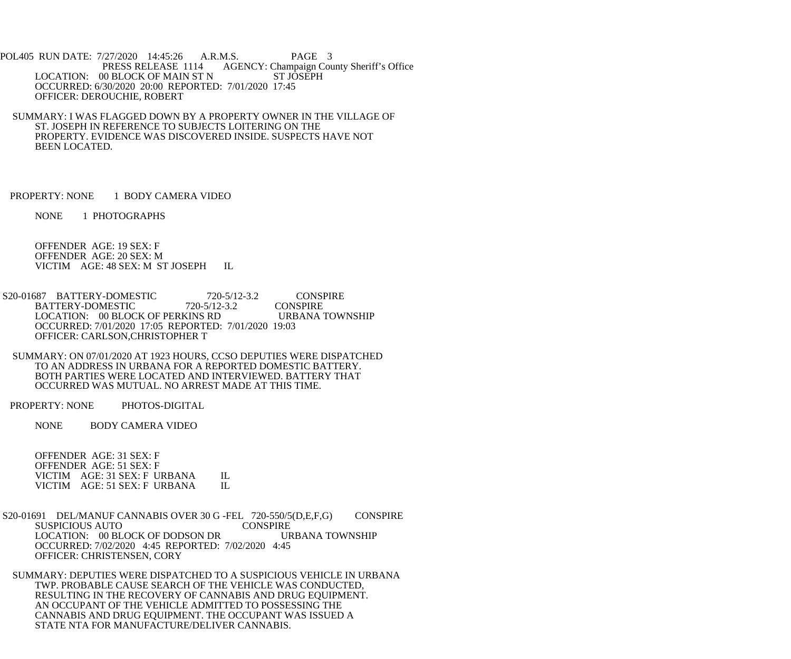POL405 RUN DATE: 7/27/2020 14:45:26 A.R.M.S. PAGE 3<br>PRESS RELEASE 1114 AGENCY: Champaign Cou AGENCY: Champaign County Sheriff's Office LOCATION: 00 BLOCK OF MAIN ST N ST JOSEPH OCCURRED: 6/30/2020 20:00 REPORTED: 7/01/2020 17:45 OFFICER: DEROUCHIE, ROBERT

 SUMMARY: I WAS FLAGGED DOWN BY A PROPERTY OWNER IN THE VILLAGE OF ST. JOSEPH IN REFERENCE TO SUBJECTS LOITERING ON THE PROPERTY. EVIDENCE WAS DISCOVERED INSIDE. SUSPECTS HAVE NOT BEEN LOCATED.

PROPERTY: NONE 1 BODY CAMERA VIDEO

NONE 1 PHOTOGRAPHS

 OFFENDER AGE: 19 SEX: F OFFENDER AGE: 20 SEX: M VICTIM AGE: 48 SEX: M ST JOSEPH IL

S20-01687 BATTERY-DOMESTIC 720-5/12-3.2 CONSPIRE<br>BATTERY-DOMESTIC 720-5/12-3.2 CONSPIRE BATTERY-DOMESTIC 720-5/12-3.2 CONSPIRE<br>LOCATION: 00 BLOCK OF PERKINS RD URBANA TOWNSHIP LOCATION: 00 BLOCK OF PERKINS RD OCCURRED: 7/01/2020 17:05 REPORTED: 7/01/2020 19:03 OFFICER: CARLSON,CHRISTOPHER T

 SUMMARY: ON 07/01/2020 AT 1923 HOURS, CCSO DEPUTIES WERE DISPATCHED TO AN ADDRESS IN URBANA FOR A REPORTED DOMESTIC BATTERY. BOTH PARTIES WERE LOCATED AND INTERVIEWED. BATTERY THAT OCCURRED WAS MUTUAL. NO ARREST MADE AT THIS TIME.

PROPERTY: NONE PHOTOS-DIGITAL

NONE BODY CAMERA VIDEO

 OFFENDER AGE: 31 SEX: F OFFENDER AGE: 51 SEX: F VICTIM AGE: 31 SEX: F URBANA IL<br>VICTIM AGE: 51 SEX: F URBANA IL VICTIM AGE: 51 SEX: F URBANA

S20-01691 DEL/MANUF CANNABIS OVER 30 G -FEL 720-550/5(D,E,F,G) CONSPIRE<br>CONSPIRE CONSPIRE SUSPICIOUS AUTO LOCATION: 00 BLOCK OF DODSON DR URBANA TOWNSHIP OCCURRED: 7/02/2020 4:45 REPORTED: 7/02/2020 4:45 OFFICER: CHRISTENSEN, CORY

 SUMMARY: DEPUTIES WERE DISPATCHED TO A SUSPICIOUS VEHICLE IN URBANA TWP. PROBABLE CAUSE SEARCH OF THE VEHICLE WAS CONDUCTED, RESULTING IN THE RECOVERY OF CANNABIS AND DRUG EQUIPMENT. AN OCCUPANT OF THE VEHICLE ADMITTED TO POSSESSING THE CANNABIS AND DRUG EQUIPMENT. THE OCCUPANT WAS ISSUED A STATE NTA FOR MANUFACTURE/DELIVER CANNABIS.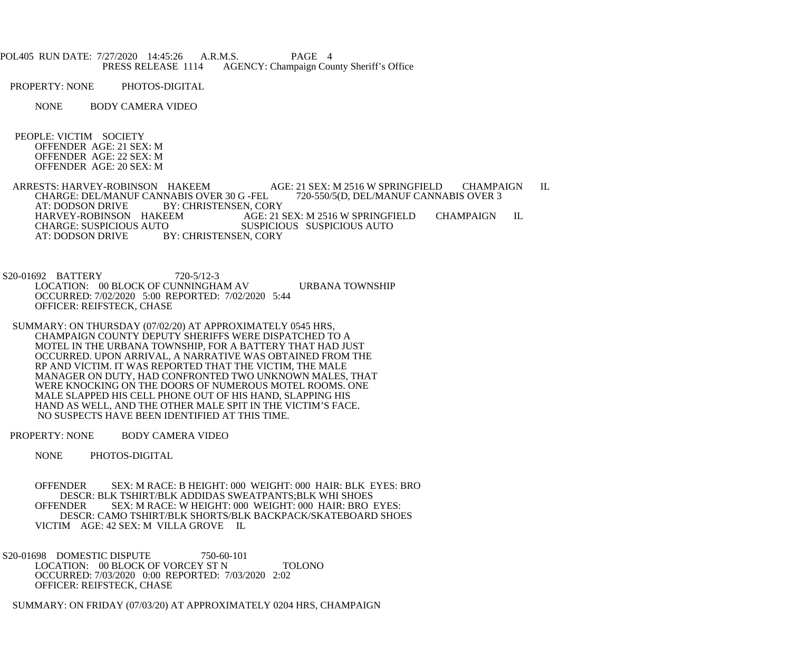| POL405 RUN DATE: 7/27/2020 14:45:26 A.R.M.S. |                    | PAGE 4                                           |  |
|----------------------------------------------|--------------------|--------------------------------------------------|--|
|                                              | PRESS RELEASE 1114 | <b>AGENCY: Champaign County Sheriff's Office</b> |  |

PROPERTY: NONE PHOTOS-DIGITAL

NONE BODY CAMERA VIDEO

 PEOPLE: VICTIM SOCIETY OFFENDER AGE: 21 SEX: M OFFENDER AGE: 22 SEX: M OFFENDER AGE: 20 SEX: M

ARRESTS: HARVEY-ROBINSON HAKEEM AGE: 21 SEX: M 2516 W SPRINGFIELD CHAMPAIGN IL<br>CHARGE: DEL/MANUF CANNABIS OVER 30 G -FEL 720-550/5(D, DEL/MANUF CANNABIS OVER 3 CHARGE: DEL/MANUF CANNABIS OVER 30 G -FEL<br>AT: DODSON DRIVE BY: CHRISTENSEN, CO. AT: DODSON DRIVE BY: CHRISTENSEN, CORY<br>HARVEY-ROBINSON HAKEEM AGE: 21 HARVEY-ROBINSON HAKEEM AGE: 21 SEX: M 2516 W SPRINGFIELD CHAMPAIGN IL CHARGE: SUSPICIOUS AUTO SUSPICIOUS SUSPICIOUS AUTO AT: DODSON DRIVE BY: CHRISTENSEN. CORY BY: CHRISTENSEN, CORY

 S20-01692 BATTERY 720-5/12-3 LOCATION: 00 BLOCK OF CUNNINGHAM AV URBANA TOWNSHIP OCCURRED: 7/02/2020 5:00 REPORTED: 7/02/2020 5:44 OFFICER: REIFSTECK, CHASE

 SUMMARY: ON THURSDAY (07/02/20) AT APPROXIMATELY 0545 HRS, CHAMPAIGN COUNTY DEPUTY SHERIFFS WERE DISPATCHED TO A MOTEL IN THE URBANA TOWNSHIP, FOR A BATTERY THAT HAD JUST OCCURRED. UPON ARRIVAL, A NARRATIVE WAS OBTAINED FROM THE RP AND VICTIM. IT WAS REPORTED THAT THE VICTIM, THE MALE MANAGER ON DUTY, HAD CONFRONTED TWO UNKNOWN MALES, THAT WERE KNOCKING ON THE DOORS OF NUMEROUS MOTEL ROOMS. ONE MALE SLAPPED HIS CELL PHONE OUT OF HIS HAND, SLAPPING HIS HAND AS WELL, AND THE OTHER MALE SPIT IN THE VICTIM'S FACE. NO SUSPECTS HAVE BEEN IDENTIFIED AT THIS TIME.

PROPERTY: NONE BODY CAMERA VIDEO

NONE PHOTOS-DIGITAL

 OFFENDER SEX: M RACE: B HEIGHT: 000 WEIGHT: 000 HAIR: BLK EYES: BRO DESCR: BLK TSHIRT/BLK ADDIDAS SWEATPANTS;BLK WHI SHOES OFFENDER SEX: M RACE: W HEIGHT: 000 WEIGHT: 000 HAIR: BRO EYES: DESCR: CAMO TSHIRT/BLK SHORTS/BLK BACKPACK/SKATEBOARD SHOES VICTIM AGE: 42 SEX: M VILLA GROVE IL

S20-01698 DOMESTIC DISPUTE 750-60-101 LOCATION: 00 BLOCK OF VORCEY ST N TOLONO OCCURRED: 7/03/2020 0:00 REPORTED: 7/03/2020 2:02 OFFICER: REIFSTECK, CHASE

SUMMARY: ON FRIDAY (07/03/20) AT APPROXIMATELY 0204 HRS, CHAMPAIGN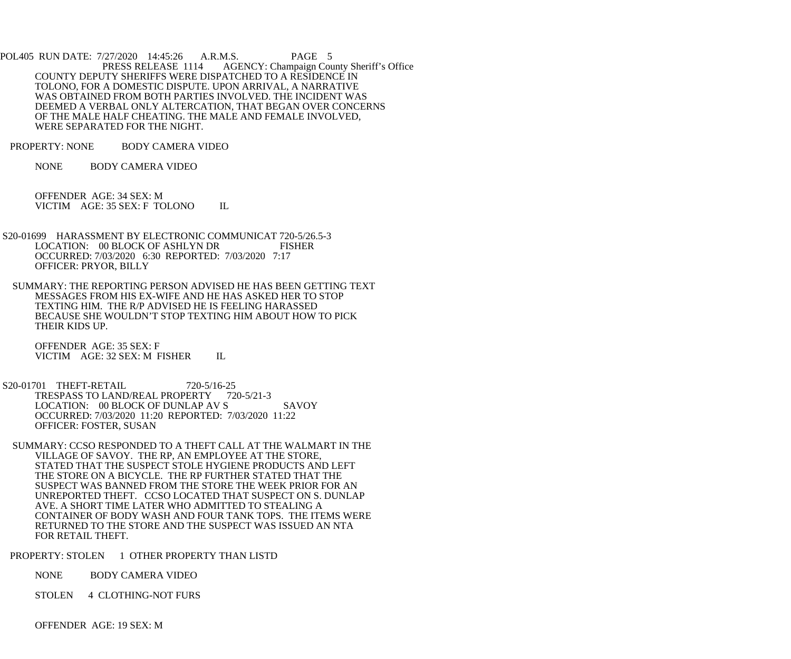POL405 RUN DATE: 7/27/2020 14:45:26 A.R.M.S. PAGE 5<br>PRESS RELEASE 1114 AGENCY: Champaign Cou AGENCY: Champaign County Sheriff's Office COUNTY DEPUTY SHERIFFS WERE DISPATCHED TO A RESIDENCE IN TOLONO, FOR A DOMESTIC DISPUTE. UPON ARRIVAL, A NARRATIVE WAS OBTAINED FROM BOTH PARTIES INVOLVED. THE INCIDENT WAS DEEMED A VERBAL ONLY ALTERCATION, THAT BEGAN OVER CONCERNS OF THE MALE HALF CHEATING. THE MALE AND FEMALE INVOLVED, WERE SEPARATED FOR THE NIGHT.

PROPERTY: NONE BODY CAMERA VIDEO

NONE BODY CAMERA VIDEO

 OFFENDER AGE: 34 SEX: M VICTIM AGE: 35 SEX: F TOLONO IL

- S20-01699 HARASSMENT BY ELECTRONIC COMMUNICAT 720-5/26.5-3 LOCATION: 00 BLOCK OF ASHLYN DR FISHER OCCURRED: 7/03/2020 6:30 REPORTED: 7/03/2020 7:17 OFFICER: PRYOR, BILLY
- SUMMARY: THE REPORTING PERSON ADVISED HE HAS BEEN GETTING TEXT MESSAGES FROM HIS EX-WIFE AND HE HAS ASKED HER TO STOP TEXTING HIM. THE R/P ADVISED HE IS FEELING HARASSED BECAUSE SHE WOULDN'T STOP TEXTING HIM ABOUT HOW TO PICK THEIR KIDS UP.

 OFFENDER AGE: 35 SEX: F VICTIM AGE: 32 SEX: M FISHER IL

- S20-01701 THEFT-RETAIL 720-5/16-25 TRESPASS TO LAND/REAL PROPERTY 720-5/21-3 LOCATION: 00 BLOCK OF DUNLAP AV S SAVOY OCCURRED: 7/03/2020 11:20 REPORTED: 7/03/2020 11:22 OFFICER: FOSTER, SUSAN
- SUMMARY: CCSO RESPONDED TO A THEFT CALL AT THE WALMART IN THE VILLAGE OF SAVOY. THE RP, AN EMPLOYEE AT THE STORE, STATED THAT THE SUSPECT STOLE HYGIENE PRODUCTS AND LEFT THE STORE ON A BICYCLE. THE RP FURTHER STATED THAT THE SUSPECT WAS BANNED FROM THE STORE THE WEEK PRIOR FOR AN UNREPORTED THEFT. CCSO LOCATED THAT SUSPECT ON S. DUNLAP AVE. A SHORT TIME LATER WHO ADMITTED TO STEALING A CONTAINER OF BODY WASH AND FOUR TANK TOPS. THE ITEMS WERE RETURNED TO THE STORE AND THE SUSPECT WAS ISSUED AN NTA FOR RETAIL THEFT.

PROPERTY: STOLEN 1 OTHER PROPERTY THAN LISTD

- NONE BODY CAMERA VIDEO
- STOLEN 4 CLOTHING-NOT FURS

OFFENDER AGE: 19 SEX: M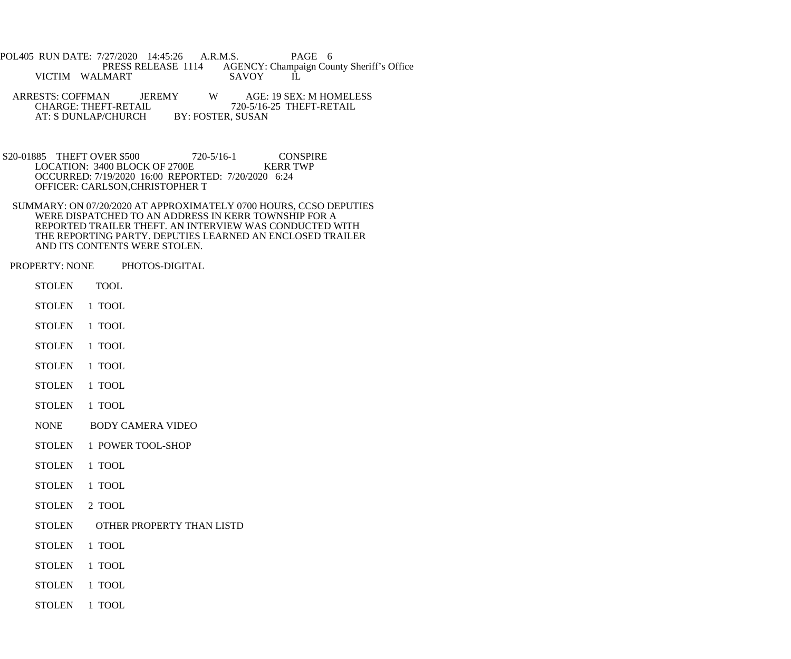- POL405 RUN DATE: 7/27/2020 14:45:26 A.R.M.S. PAGE 6<br>PRESS RELEASE 1114 AGENCY: Champaign Cou AGENCY: Champaign County Sheriff's Office<br>SAVOY IL VICTIM WALMART
- ARRESTS: COFFMAN JEREMY W AGE: 19 SEX: M HOMELESS<br>CHARGE: THEFT-RETAIL 720-5/16-25 THEFT-RETAIL 720-5/16-25 THEFT-RETAIL<br>BY: FOSTER, SUSAN AT: S DUNLAP/CHURCH
- S20-01885 THEFT OVER \$500 720-5/16-1 CONSPIRE<br>LOCATION: 3400 BLOCK OF 2700E KERR TWP LOCATION: 3400 BLOCK OF 2700E OCCURRED: 7/19/2020 16:00 REPORTED: 7/20/2020 6:24 OFFICER: CARLSON,CHRISTOPHER T
- SUMMARY: ON 07/20/2020 AT APPROXIMATELY 0700 HOURS, CCSO DEPUTIES WERE DISPATCHED TO AN ADDRESS IN KERR TOWNSHIP FOR A REPORTED TRAILER THEFT. AN INTERVIEW WAS CONDUCTED WITH THE REPORTING PARTY. DEPUTIES LEARNED AN ENCLOSED TRAILER AND ITS CONTENTS WERE STOLEN.
- PROPERTY: NONE PHOTOS-DIGITAL
	- STOLEN TOOL
	- STOLEN 1 TOOL
	- STOLEN 1 TOOL
	- STOLEN 1 TOOL
	- STOLEN 1 TOOL
	- STOLEN 1 TOOL
	- STOLEN 1 TOOL
	- NONE BODY CAMERA VIDEO
	- STOLEN 1 POWER TOOL-SHOP
	- STOLEN 1 TOOL
	- STOLEN 1 TOOL
	- STOLEN 2 TOOL
	- STOLEN OTHER PROPERTY THAN LISTD
	- STOLEN 1 TOOL
	- STOLEN 1 TOOL
	- STOLEN 1 TOOL
	- STOLEN 1 TOOL